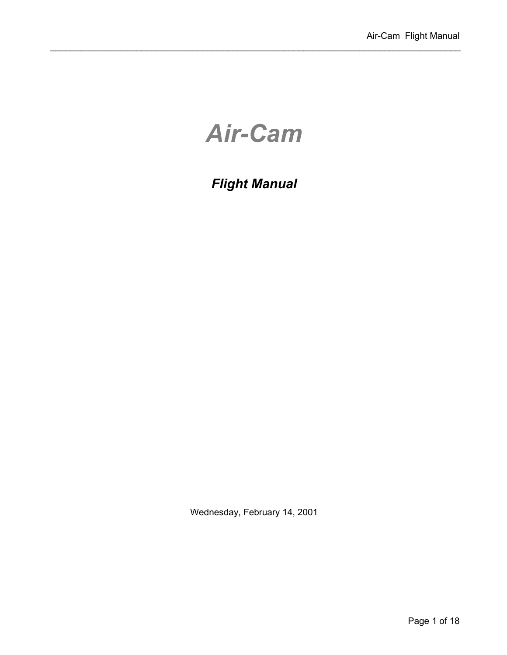# *Air-Cam*

# *Flight Manual*

Wednesday, February 14, 2001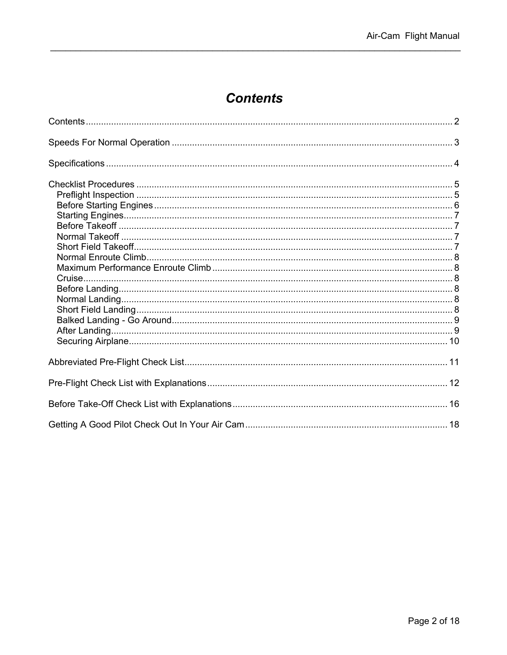# **Contents**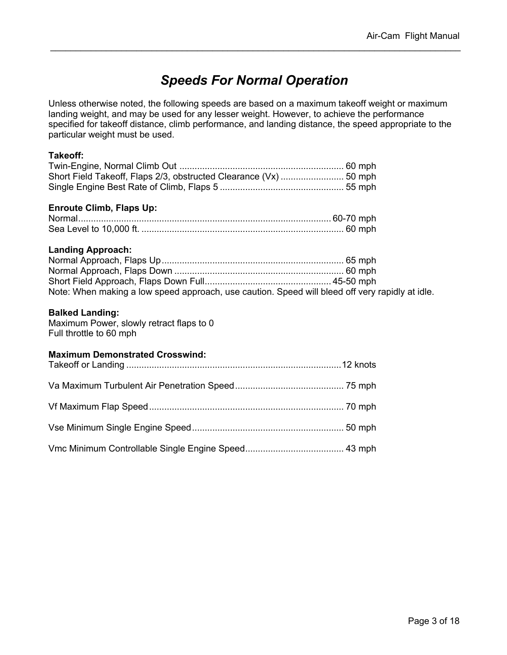# *Speeds For Normal Operation*

Unless otherwise noted, the following speeds are based on a maximum takeoff weight or maximum landing weight, and may be used for any lesser weight. However, to achieve the performance specified for takeoff distance, climb performance, and landing distance, the speed appropriate to the particular weight must be used.

#### **Takeoff:**

#### **Enroute Climb, Flaps Up:**

#### **Landing Approach:**

| Note: When making a low speed approach, use caution. Speed will bleed off very rapidly at idle. |  |
|-------------------------------------------------------------------------------------------------|--|

#### **Balked Landing:**

Maximum Power, slowly retract flaps to 0 Full throttle to 60 mph

#### **Maximum Demonstrated Crosswind:**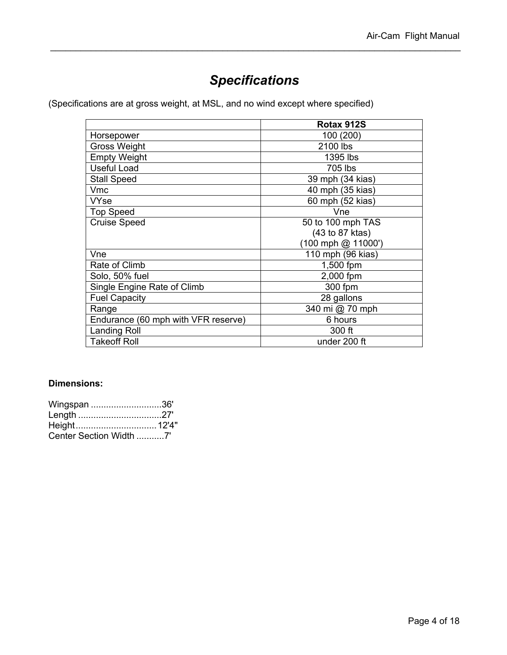# *Specifications*

(Specifications are at gross weight, at MSL, and no wind except where specified)

|                                     | Rotax 912S         |
|-------------------------------------|--------------------|
| Horsepower                          | 100 (200)          |
| Gross Weight                        | 2100 lbs           |
| <b>Empty Weight</b>                 | 1395 lbs           |
| <b>Useful Load</b>                  | 705 lbs            |
| <b>Stall Speed</b>                  | 39 mph (34 kias)   |
| <b>Vmc</b>                          | 40 mph (35 kias)   |
| <b>VYse</b>                         | 60 mph (52 kias)   |
| <b>Top Speed</b>                    | Vne                |
| <b>Cruise Speed</b>                 | 50 to 100 mph TAS  |
|                                     | (43 to 87 ktas)    |
|                                     | (100 mph @ 11000') |
| Vne                                 | 110 mph (96 kias)  |
| Rate of Climb                       | 1,500 fpm          |
| Solo, 50% fuel                      | 2,000 fpm          |
| Single Engine Rate of Climb         | 300 fpm            |
| <b>Fuel Capacity</b>                | 28 gallons         |
| Range                               | 340 mi @ 70 mph    |
| Endurance (60 mph with VFR reserve) | 6 hours            |
| <b>Landing Roll</b>                 | 300 ft             |
| <b>Takeoff Roll</b>                 | under 200 ft       |

#### **Dimensions:**

| Wingspan 36'            |  |
|-------------------------|--|
|                         |  |
|                         |  |
| Center Section Width 7' |  |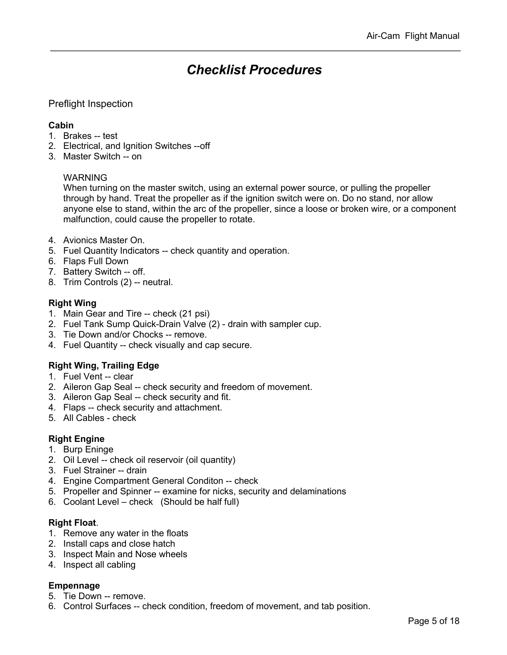### *Checklist Procedures*

#### Preflight Inspection

#### **Cabin**

- 1. Brakes -- test
- 2. Electrical, and Ignition Switches --off
- 3. Master Switch -- on

#### WARNING

When turning on the master switch, using an external power source, or pulling the propeller through by hand. Treat the propeller as if the ignition switch were on. Do no stand, nor allow anyone else to stand, within the arc of the propeller, since a loose or broken wire, or a component malfunction, could cause the propeller to rotate.

- 4. Avionics Master On.
- 5. Fuel Quantity Indicators -- check quantity and operation.
- 6. Flaps Full Down
- 7. Battery Switch -- off.
- 8. Trim Controls (2) -- neutral.

#### **Right Wing**

- 1. Main Gear and Tire -- check (21 psi)
- 2. Fuel Tank Sump Quick-Drain Valve (2) drain with sampler cup.
- 3. Tie Down and/or Chocks -- remove.
- 4. Fuel Quantity -- check visually and cap secure.

#### **Right Wing, Trailing Edge**

- 1. Fuel Vent -- clear
- 2. Aileron Gap Seal -- check security and freedom of movement.
- 3. Aileron Gap Seal -- check security and fit.
- 4. Flaps -- check security and attachment.
- 5. All Cables check

#### **Right Engine**

- 1. Burp Eninge
- 2. Oil Level -- check oil reservoir (oil quantity)
- 3. Fuel Strainer -- drain
- 4. Engine Compartment General Conditon -- check
- 5. Propeller and Spinner -- examine for nicks, security and delaminations
- 6. Coolant Level check (Should be half full)

#### **Right Float**.

- 1. Remove any water in the floats
- 2. Install caps and close hatch
- 3. Inspect Main and Nose wheels
- 4. Inspect all cabling

#### **Empennage**

- 5. Tie Down -- remove.
- 6. Control Surfaces -- check condition, freedom of movement, and tab position.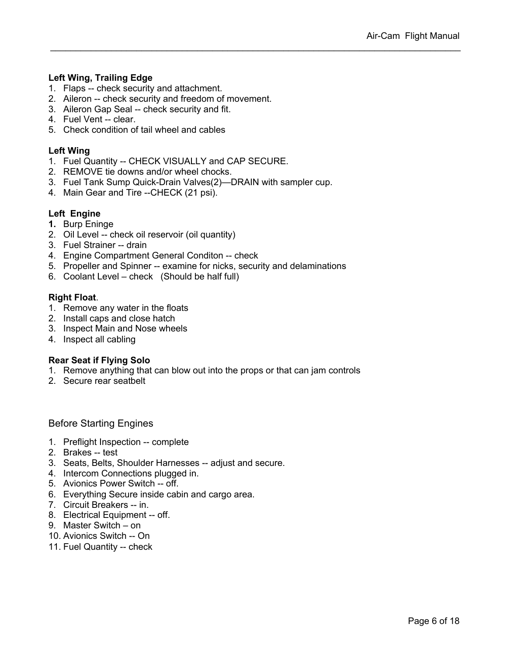#### **Left Wing, Trailing Edge**

- 1. Flaps -- check security and attachment.
- 2. Aileron -- check security and freedom of movement.
- 3. Aileron Gap Seal -- check security and fit.
- 4. Fuel Vent -- clear.
- 5. Check condition of tail wheel and cables

#### **Left Wing**

- 1. Fuel Quantity -- CHECK VISUALLY and CAP SECURE.
- 2. REMOVE tie downs and/or wheel chocks.
- 3. Fuel Tank Sump Quick-Drain Valves(2)—DRAIN with sampler cup.
- 4. Main Gear and Tire --CHECK (21 psi).

#### **Left Engine**

- **1.** Burp Eninge
- 2. Oil Level -- check oil reservoir (oil quantity)
- 3. Fuel Strainer -- drain
- 4. Engine Compartment General Conditon -- check
- 5. Propeller and Spinner -- examine for nicks, security and delaminations
- 6. Coolant Level check (Should be half full)

#### **Right Float**.

- 1. Remove any water in the floats
- 2. Install caps and close hatch
- 3. Inspect Main and Nose wheels
- 4. Inspect all cabling

#### **Rear Seat if Flying Solo**

- 1. Remove anything that can blow out into the props or that can jam controls
- 2. Secure rear seatbelt

#### Before Starting Engines

- 1. Preflight Inspection -- complete
- 2. Brakes -- test
- 3. Seats, Belts, Shoulder Harnesses -- adjust and secure.
- 4. Intercom Connections plugged in.
- 5. Avionics Power Switch -- off.
- 6. Everything Secure inside cabin and cargo area.
- 7. Circuit Breakers -- in.
- 8. Electrical Equipment -- off.
- 9. Master Switch on
- 10. Avionics Switch -- On
- 11. Fuel Quantity -- check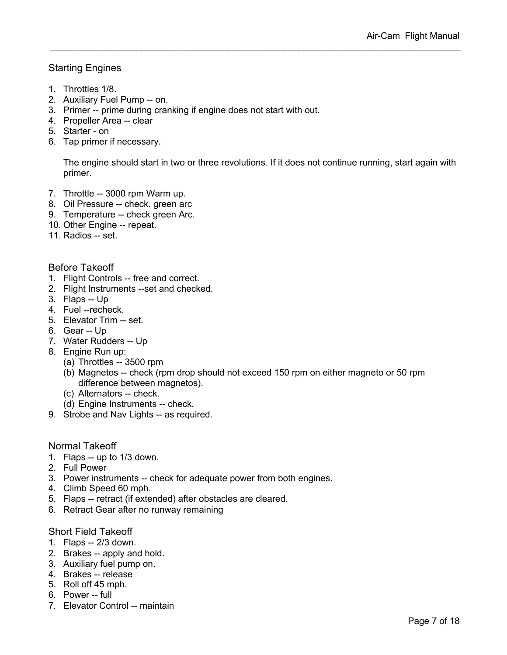#### Starting Engines

- 1. Throttles 1/8.
- 2. Auxiliary Fuel Pump -- on.
- 3. Primer -- prime during cranking if engine does not start with out.
- 4. Propeller Area -- clear
- 5. Starter on
- 6. Tap primer if necessary.

The engine should start in two or three revolutions. If it does not continue running, start again with primer.

- 7. Throttle -- 3000 rpm Warm up.
- 8. Oil Pressure -- check. green arc
- 9. Temperature -- check green Arc.
- 10. Other Engine -- repeat.
- 11. Radios -- set.

#### Before Takeoff

- 1. Flight Controls -- free and correct.
- 2. Flight Instruments --set and checked.
- 3. Flaps -- Up
- 4. Fuel --recheck.
- 5. Elevator Trim -- set.
- 6. Gear -- Up
- 7. Water Rudders -- Up
- 8. Engine Run up:
	- (a) Throttles -- 3500 rpm
	- (b) Magnetos -- check (rpm drop should not exceed 150 rpm on either magneto or 50 rpm difference between magnetos).
	- (c) Alternators -- check.
	- (d) Engine Instruments -- check.
- 9. Strobe and Nav Lights -- as required.

#### Normal Takeoff

- 1. Flaps -- up to 1/3 down.
- 2. Full Power
- 3. Power instruments -- check for adequate power from both engines.
- 4. Climb Speed 60 mph.
- 5. Flaps -- retract (if extended) after obstacles are cleared.
- 6. Retract Gear after no runway remaining

#### Short Field Takeoff

- 1. Flaps -- 2/3 down.
- 2. Brakes -- apply and hold.
- 3. Auxiliary fuel pump on.
- 4. Brakes -- release
- 5. Roll off 45 mph.
- 6. Power -- full
- 7. Elevator Control -- maintain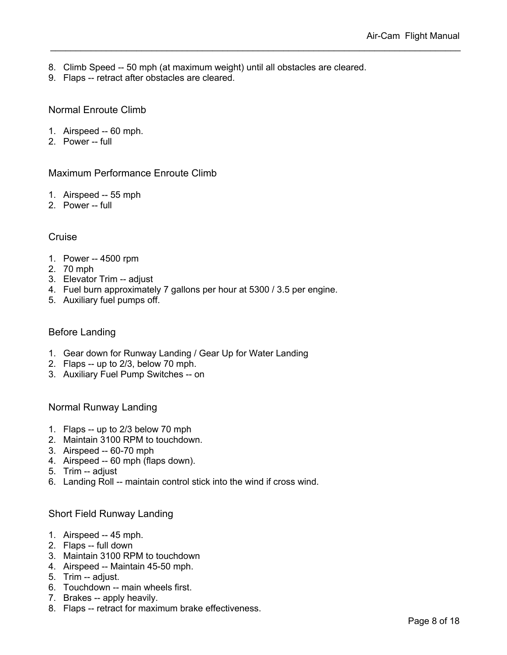- 8. Climb Speed -- 50 mph (at maximum weight) until all obstacles are cleared.
- 9. Flaps -- retract after obstacles are cleared.

#### Normal Enroute Climb

- 1. Airspeed -- 60 mph.
- 2. Power -- full

#### Maximum Performance Enroute Climb

- 1. Airspeed -- 55 mph
- 2. Power -- full

#### **Cruise**

- 1. Power -- 4500 rpm
- 2. 70 mph
- 3. Elevator Trim -- adjust
- 4. Fuel burn approximately 7 gallons per hour at 5300 / 3.5 per engine.
- 5. Auxiliary fuel pumps off.

#### Before Landing

- 1. Gear down for Runway Landing / Gear Up for Water Landing
- 2. Flaps -- up to 2/3, below 70 mph.
- 3. Auxiliary Fuel Pump Switches -- on

Normal Runway Landing

- 1. Flaps -- up to 2/3 below 70 mph
- 2. Maintain 3100 RPM to touchdown.
- 3. Airspeed -- 60-70 mph
- 4. Airspeed -- 60 mph (flaps down).
- 5. Trim -- adjust
- 6. Landing Roll -- maintain control stick into the wind if cross wind.

#### Short Field Runway Landing

- 1. Airspeed -- 45 mph.
- 2. Flaps -- full down
- 3. Maintain 3100 RPM to touchdown
- 4. Airspeed -- Maintain 45-50 mph.
- 5. Trim -- adjust.
- 6. Touchdown -- main wheels first.
- 7. Brakes -- apply heavily.
- 8. Flaps -- retract for maximum brake effectiveness.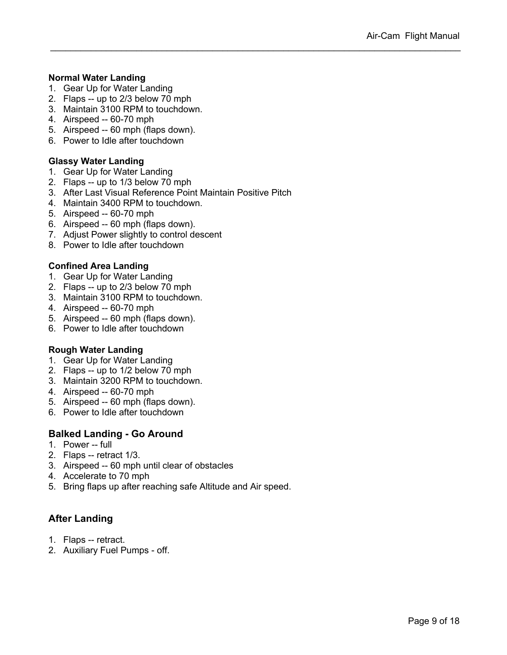#### **Normal Water Landing**

- 1. Gear Up for Water Landing
- 2. Flaps -- up to 2/3 below 70 mph
- 3. Maintain 3100 RPM to touchdown.
- 4. Airspeed -- 60-70 mph
- 5. Airspeed -- 60 mph (flaps down).
- 6. Power to Idle after touchdown

#### **Glassy Water Landing**

- 1. Gear Up for Water Landing
- 2. Flaps -- up to 1/3 below 70 mph
- 3. After Last Visual Reference Point Maintain Positive Pitch
- 4. Maintain 3400 RPM to touchdown.
- 5. Airspeed -- 60-70 mph
- 6. Airspeed -- 60 mph (flaps down).
- 7. Adjust Power slightly to control descent
- 8. Power to Idle after touchdown

#### **Confined Area Landing**

- 1. Gear Up for Water Landing
- 2. Flaps -- up to 2/3 below 70 mph
- 3. Maintain 3100 RPM to touchdown.
- 4. Airspeed -- 60-70 mph
- 5. Airspeed -- 60 mph (flaps down).
- 6. Power to Idle after touchdown

#### **Rough Water Landing**

- 1. Gear Up for Water Landing
- 2. Flaps -- up to 1/2 below 70 mph
- 3. Maintain 3200 RPM to touchdown.
- 4. Airspeed -- 60-70 mph
- 5. Airspeed -- 60 mph (flaps down).
- 6. Power to Idle after touchdown

#### **Balked Landing - Go Around**

- 1. Power -- full
- 2. Flaps -- retract 1/3.
- 3. Airspeed -- 60 mph until clear of obstacles
- 4. Accelerate to 70 mph
- 5. Bring flaps up after reaching safe Altitude and Air speed.

#### **After Landing**

- 1. Flaps -- retract.
- 2. Auxiliary Fuel Pumps off.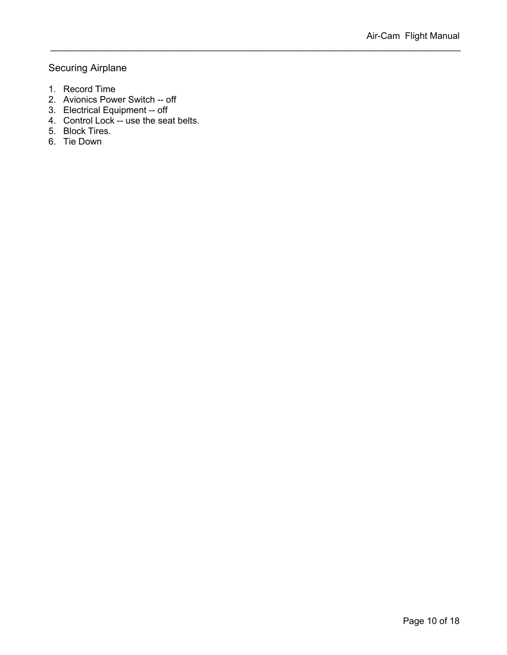#### Securing Airplane

- 1. Record Time
- 2. Avionics Power Switch -- off
- 3. Electrical Equipment -- off
- 4. Control Lock -- use the seat belts.
- 5. Block Tires.
- 6. Tie Down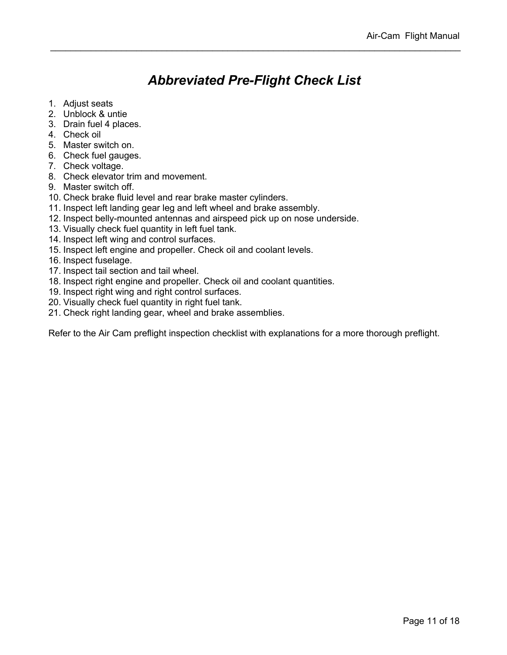# *Abbreviated Pre-Flight Check List*

- 1. Adjust seats
- 2. Unblock & untie
- 3. Drain fuel 4 places.
- 4. Check oil
- 5. Master switch on.
- 6. Check fuel gauges.
- 7. Check voltage.
- 8. Check elevator trim and movement.
- 9. Master switch off.
- 10. Check brake fluid level and rear brake master cylinders.
- 11. Inspect left landing gear leg and left wheel and brake assembly.
- 12. Inspect belly-mounted antennas and airspeed pick up on nose underside.
- 13. Visually check fuel quantity in left fuel tank.
- 14. Inspect left wing and control surfaces.
- 15. Inspect left engine and propeller. Check oil and coolant levels.
- 16. Inspect fuselage.
- 17. Inspect tail section and tail wheel.
- 18. Inspect right engine and propeller. Check oil and coolant quantities.
- 19. Inspect right wing and right control surfaces.
- 20. Visually check fuel quantity in right fuel tank.
- 21. Check right landing gear, wheel and brake assemblies.

Refer to the Air Cam preflight inspection checklist with explanations for a more thorough preflight.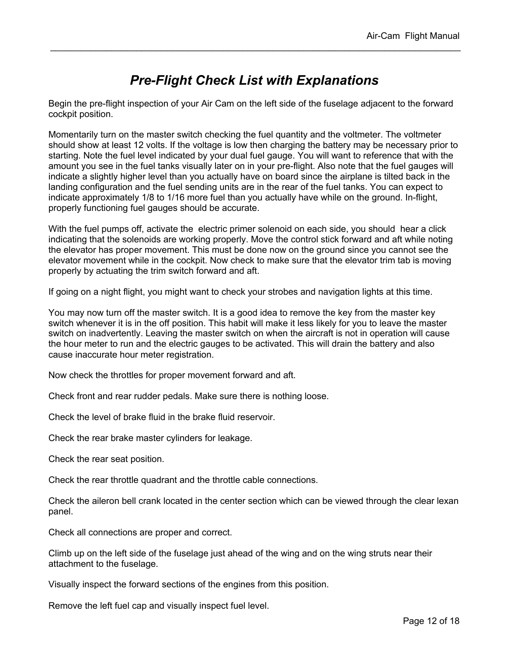### *Pre-Flight Check List with Explanations*

Begin the pre-flight inspection of your Air Cam on the left side of the fuselage adjacent to the forward cockpit position.

Momentarily turn on the master switch checking the fuel quantity and the voltmeter. The voltmeter should show at least 12 volts. If the voltage is low then charging the battery may be necessary prior to starting. Note the fuel level indicated by your dual fuel gauge. You will want to reference that with the amount you see in the fuel tanks visually later on in your pre-flight. Also note that the fuel gauges will indicate a slightly higher level than you actually have on board since the airplane is tilted back in the landing configuration and the fuel sending units are in the rear of the fuel tanks. You can expect to indicate approximately 1/8 to 1/16 more fuel than you actually have while on the ground. In-flight, properly functioning fuel gauges should be accurate.

With the fuel pumps off, activate the electric primer solenoid on each side, you should hear a click indicating that the solenoids are working properly. Move the control stick forward and aft while noting the elevator has proper movement. This must be done now on the ground since you cannot see the elevator movement while in the cockpit. Now check to make sure that the elevator trim tab is moving properly by actuating the trim switch forward and aft.

If going on a night flight, you might want to check your strobes and navigation lights at this time.

You may now turn off the master switch. It is a good idea to remove the key from the master key switch whenever it is in the off position. This habit will make it less likely for you to leave the master switch on inadvertently. Leaving the master switch on when the aircraft is not in operation will cause the hour meter to run and the electric gauges to be activated. This will drain the battery and also cause inaccurate hour meter registration.

Now check the throttles for proper movement forward and aft.

Check front and rear rudder pedals. Make sure there is nothing loose.

Check the level of brake fluid in the brake fluid reservoir.

Check the rear brake master cylinders for leakage.

Check the rear seat position.

Check the rear throttle quadrant and the throttle cable connections.

Check the aileron bell crank located in the center section which can be viewed through the clear lexan panel.

Check all connections are proper and correct.

Climb up on the left side of the fuselage just ahead of the wing and on the wing struts near their attachment to the fuselage.

Visually inspect the forward sections of the engines from this position.

Remove the left fuel cap and visually inspect fuel level.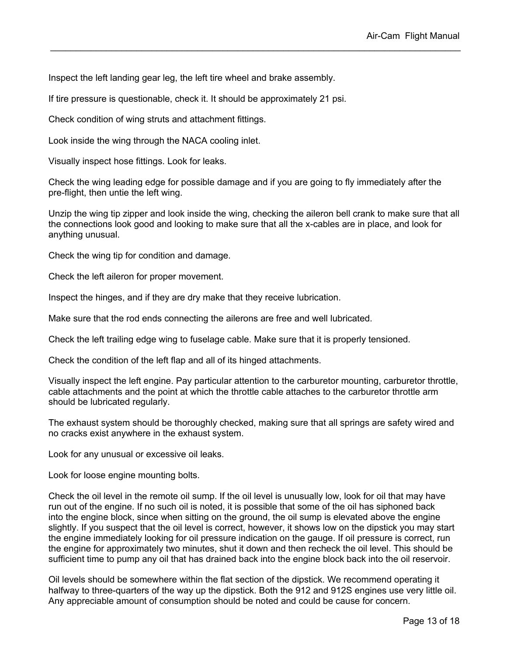Inspect the left landing gear leg, the left tire wheel and brake assembly.

If tire pressure is questionable, check it. It should be approximately 21 psi.

Check condition of wing struts and attachment fittings.

Look inside the wing through the NACA cooling inlet.

Visually inspect hose fittings. Look for leaks.

Check the wing leading edge for possible damage and if you are going to fly immediately after the pre-flight, then untie the left wing.

Unzip the wing tip zipper and look inside the wing, checking the aileron bell crank to make sure that all the connections look good and looking to make sure that all the x-cables are in place, and look for anything unusual.

Check the wing tip for condition and damage.

Check the left aileron for proper movement.

Inspect the hinges, and if they are dry make that they receive lubrication.

Make sure that the rod ends connecting the ailerons are free and well lubricated.

Check the left trailing edge wing to fuselage cable. Make sure that it is properly tensioned.

Check the condition of the left flap and all of its hinged attachments.

Visually inspect the left engine. Pay particular attention to the carburetor mounting, carburetor throttle, cable attachments and the point at which the throttle cable attaches to the carburetor throttle arm should be lubricated regularly.

The exhaust system should be thoroughly checked, making sure that all springs are safety wired and no cracks exist anywhere in the exhaust system.

Look for any unusual or excessive oil leaks.

Look for loose engine mounting bolts.

Check the oil level in the remote oil sump. If the oil level is unusually low, look for oil that may have run out of the engine. If no such oil is noted, it is possible that some of the oil has siphoned back into the engine block, since when sitting on the ground, the oil sump is elevated above the engine slightly. If you suspect that the oil level is correct, however, it shows low on the dipstick you may start the engine immediately looking for oil pressure indication on the gauge. If oil pressure is correct, run the engine for approximately two minutes, shut it down and then recheck the oil level. This should be sufficient time to pump any oil that has drained back into the engine block back into the oil reservoir.

Oil levels should be somewhere within the flat section of the dipstick. We recommend operating it halfway to three-quarters of the way up the dipstick. Both the 912 and 912S engines use very little oil. Any appreciable amount of consumption should be noted and could be cause for concern.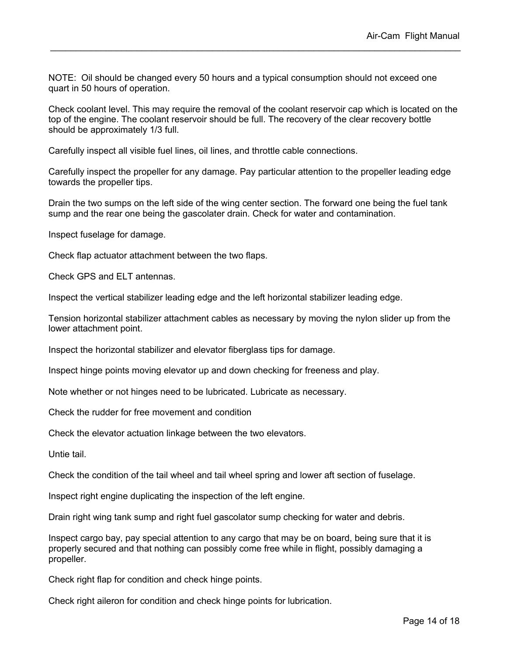NOTE: Oil should be changed every 50 hours and a typical consumption should not exceed one quart in 50 hours of operation.

Check coolant level. This may require the removal of the coolant reservoir cap which is located on the top of the engine. The coolant reservoir should be full. The recovery of the clear recovery bottle should be approximately 1/3 full.

Carefully inspect all visible fuel lines, oil lines, and throttle cable connections.

Carefully inspect the propeller for any damage. Pay particular attention to the propeller leading edge towards the propeller tips.

Drain the two sumps on the left side of the wing center section. The forward one being the fuel tank sump and the rear one being the gascolater drain. Check for water and contamination.

Inspect fuselage for damage.

Check flap actuator attachment between the two flaps.

Check GPS and ELT antennas.

Inspect the vertical stabilizer leading edge and the left horizontal stabilizer leading edge.

Tension horizontal stabilizer attachment cables as necessary by moving the nylon slider up from the lower attachment point.

Inspect the horizontal stabilizer and elevator fiberglass tips for damage.

Inspect hinge points moving elevator up and down checking for freeness and play.

Note whether or not hinges need to be lubricated. Lubricate as necessary.

Check the rudder for free movement and condition

Check the elevator actuation linkage between the two elevators.

Untie tail.

Check the condition of the tail wheel and tail wheel spring and lower aft section of fuselage.

Inspect right engine duplicating the inspection of the left engine.

Drain right wing tank sump and right fuel gascolator sump checking for water and debris.

Inspect cargo bay, pay special attention to any cargo that may be on board, being sure that it is properly secured and that nothing can possibly come free while in flight, possibly damaging a propeller.

Check right flap for condition and check hinge points.

Check right aileron for condition and check hinge points for lubrication.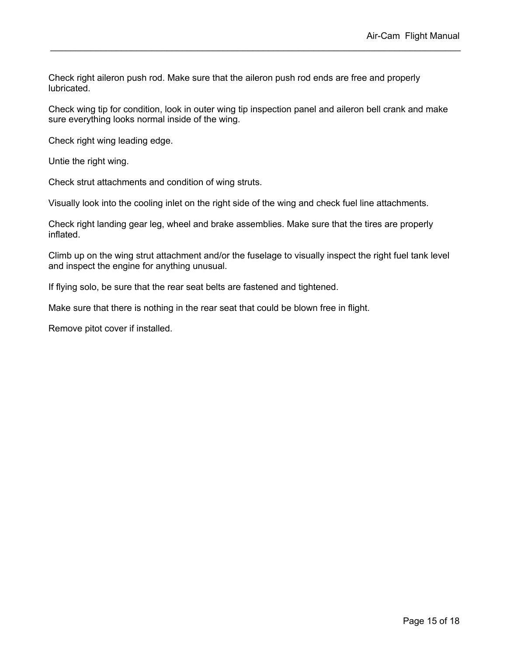Check right aileron push rod. Make sure that the aileron push rod ends are free and properly lubricated.

Check wing tip for condition, look in outer wing tip inspection panel and aileron bell crank and make sure everything looks normal inside of the wing.

Check right wing leading edge.

Untie the right wing.

Check strut attachments and condition of wing struts.

Visually look into the cooling inlet on the right side of the wing and check fuel line attachments.

Check right landing gear leg, wheel and brake assemblies. Make sure that the tires are properly inflated.

Climb up on the wing strut attachment and/or the fuselage to visually inspect the right fuel tank level and inspect the engine for anything unusual.

If flying solo, be sure that the rear seat belts are fastened and tightened.

Make sure that there is nothing in the rear seat that could be blown free in flight.

Remove pitot cover if installed.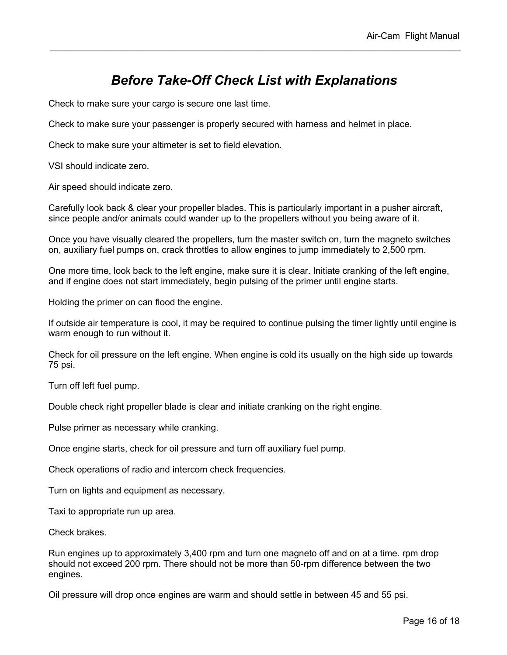### *Before Take-Off Check List with Explanations*

Check to make sure your cargo is secure one last time.

Check to make sure your passenger is properly secured with harness and helmet in place.

Check to make sure your altimeter is set to field elevation.

VSI should indicate zero.

Air speed should indicate zero.

Carefully look back & clear your propeller blades. This is particularly important in a pusher aircraft, since people and/or animals could wander up to the propellers without you being aware of it.

Once you have visually cleared the propellers, turn the master switch on, turn the magneto switches on, auxiliary fuel pumps on, crack throttles to allow engines to jump immediately to 2,500 rpm.

One more time, look back to the left engine, make sure it is clear. Initiate cranking of the left engine, and if engine does not start immediately, begin pulsing of the primer until engine starts.

Holding the primer on can flood the engine.

If outside air temperature is cool, it may be required to continue pulsing the timer lightly until engine is warm enough to run without it.

Check for oil pressure on the left engine. When engine is cold its usually on the high side up towards 75 psi.

Turn off left fuel pump.

Double check right propeller blade is clear and initiate cranking on the right engine.

Pulse primer as necessary while cranking.

Once engine starts, check for oil pressure and turn off auxiliary fuel pump.

Check operations of radio and intercom check frequencies.

Turn on lights and equipment as necessary.

Taxi to appropriate run up area.

Check brakes.

Run engines up to approximately 3,400 rpm and turn one magneto off and on at a time. rpm drop should not exceed 200 rpm. There should not be more than 50-rpm difference between the two engines.

Oil pressure will drop once engines are warm and should settle in between 45 and 55 psi.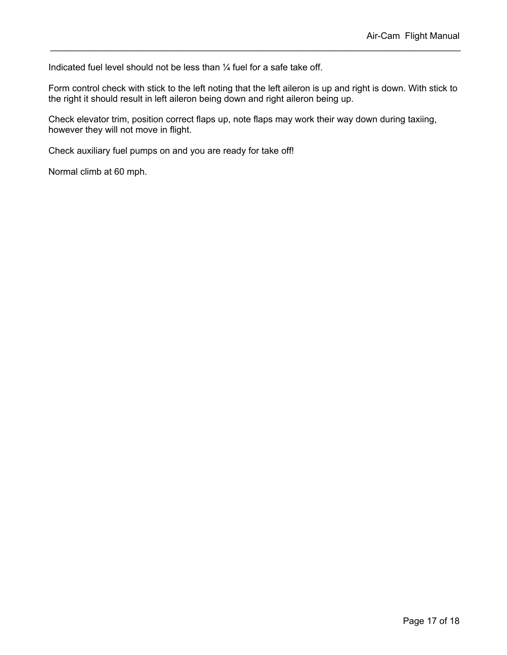Indicated fuel level should not be less than ¼ fuel for a safe take off.

Form control check with stick to the left noting that the left aileron is up and right is down. With stick to the right it should result in left aileron being down and right aileron being up.

Check elevator trim, position correct flaps up, note flaps may work their way down during taxiing, however they will not move in flight.

Check auxiliary fuel pumps on and you are ready for take off!

Normal climb at 60 mph.